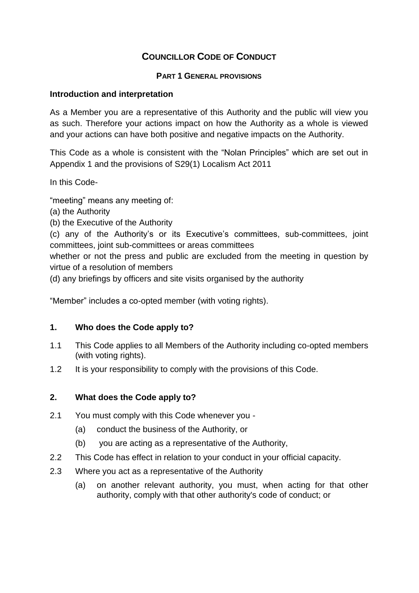# **COUNCILLOR CODE OF CONDUCT**

## **PART 1 GENERAL PROVISIONS**

## **Introduction and interpretation**

As a Member you are a representative of this Authority and the public will view you as such. Therefore your actions impact on how the Authority as a whole is viewed and your actions can have both positive and negative impacts on the Authority.

This Code as a whole is consistent with the "Nolan Principles" which are set out in Appendix 1 and the provisions of S29(1) Localism Act 2011

In this Code-

"meeting" means any meeting of:

- (a) the Authority
- (b) the Executive of the Authority

(c) any of the Authority's or its Executive's committees, sub-committees, joint committees, joint sub-committees or areas committees

whether or not the press and public are excluded from the meeting in question by virtue of a resolution of members

(d) any briefings by officers and site visits organised by the authority

"Member" includes a co-opted member (with voting rights).

#### **1. Who does the Code apply to?**

- 1.1 This Code applies to all Members of the Authority including co-opted members (with voting rights).
- 1.2 It is your responsibility to comply with the provisions of this Code.

## **2. What does the Code apply to?**

- 2.1 You must comply with this Code whenever you
	- (a) conduct the business of the Authority, or
	- (b) you are acting as a representative of the Authority,
- 2.2 This Code has effect in relation to your conduct in your official capacity.
- 2.3 Where you act as a representative of the Authority
	- (a) on another relevant authority, you must, when acting for that other authority, comply with that other authority's code of conduct; or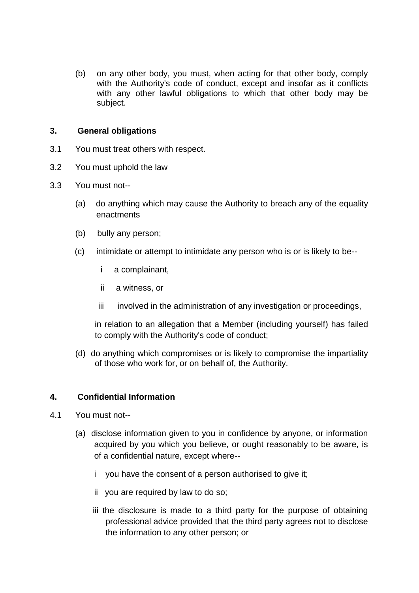(b) on any other body, you must, when acting for that other body, comply with the Authority's code of conduct, except and insofar as it conflicts with any other lawful obligations to which that other body may be subject.

#### **3. General obligations**

- 3.1 You must treat others with respect.
- 3.2 You must uphold the law
- 3.3 You must not--
	- (a) do anything which may cause the Authority to breach any of the equality enactments
	- (b) bully any person;
	- (c) intimidate or attempt to intimidate any person who is or is likely to be-
		- i a complainant,
		- ii a witness, or
		- iii involved in the administration of any investigation or proceedings,

in relation to an allegation that a Member (including yourself) has failed to comply with the Authority's code of conduct;

(d) do anything which compromises or is likely to compromise the impartiality of those who work for, or on behalf of, the Authority.

#### **4. Confidential Information**

- 4.1 You must not--
	- (a) disclose information given to you in confidence by anyone, or information acquired by you which you believe, or ought reasonably to be aware, is of a confidential nature, except where-
		- i you have the consent of a person authorised to give it;
		- ii you are required by law to do so;
		- iii the disclosure is made to a third party for the purpose of obtaining professional advice provided that the third party agrees not to disclose the information to any other person; or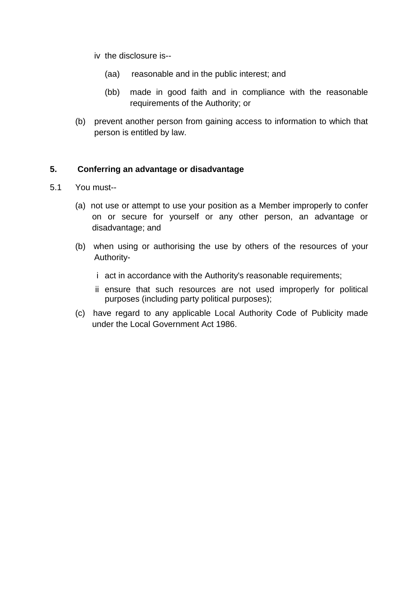- iv the disclosure is--
	- (aa) reasonable and in the public interest; and
	- (bb) made in good faith and in compliance with the reasonable requirements of the Authority; or
- (b) prevent another person from gaining access to information to which that person is entitled by law.

## **5. Conferring an advantage or disadvantage**

- 5.1 You must--
	- (a) not use or attempt to use your position as a Member improperly to confer on or secure for yourself or any other person, an advantage or disadvantage; and
	- (b) when using or authorising the use by others of the resources of your Authority
		- i act in accordance with the Authority's reasonable requirements;
		- ii ensure that such resources are not used improperly for political purposes (including party political purposes);
	- (c) have regard to any applicable Local Authority Code of Publicity made under the Local Government Act 1986.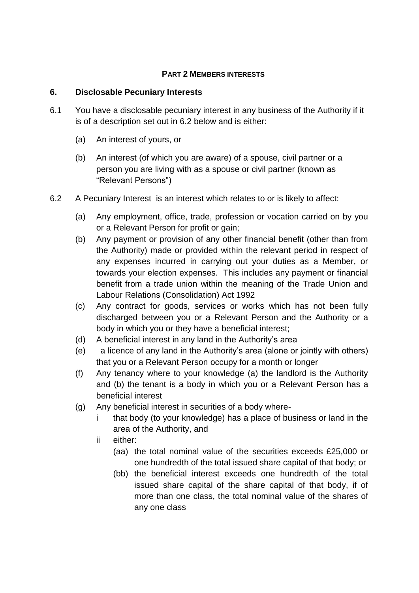## **PART 2 MEMBERS INTERESTS**

## **6. Disclosable Pecuniary Interests**

- 6.1 You have a disclosable pecuniary interest in any business of the Authority if it is of a description set out in 6.2 below and is either:
	- (a) An interest of yours, or
	- (b) An interest (of which you are aware) of a spouse, civil partner or a person you are living with as a spouse or civil partner (known as "Relevant Persons")
- 6.2 A Pecuniary Interest is an interest which relates to or is likely to affect:
	- (a) Any employment, office, trade, profession or vocation carried on by you or a Relevant Person for profit or gain;
	- (b) Any payment or provision of any other financial benefit (other than from the Authority) made or provided within the relevant period in respect of any expenses incurred in carrying out your duties as a Member, or towards your election expenses. This includes any payment or financial benefit from a trade union within the meaning of the Trade Union and Labour Relations (Consolidation) Act 1992
	- (c) Any contract for goods, services or works which has not been fully discharged between you or a Relevant Person and the Authority or a body in which you or they have a beneficial interest;
	- (d) A beneficial interest in any land in the Authority's area
	- (e) a licence of any land in the Authority's area (alone or jointly with others) that you or a Relevant Person occupy for a month or longer
	- (f) Any tenancy where to your knowledge (a) the landlord is the Authority and (b) the tenant is a body in which you or a Relevant Person has a beneficial interest
	- (g) Any beneficial interest in securities of a body where
		- i that body (to your knowledge) has a place of business or land in the area of the Authority, and
		- ii either:
			- (aa) the total nominal value of the securities exceeds £25,000 or one hundredth of the total issued share capital of that body; or
			- (bb) the beneficial interest exceeds one hundredth of the total issued share capital of the share capital of that body, if of more than one class, the total nominal value of the shares of any one class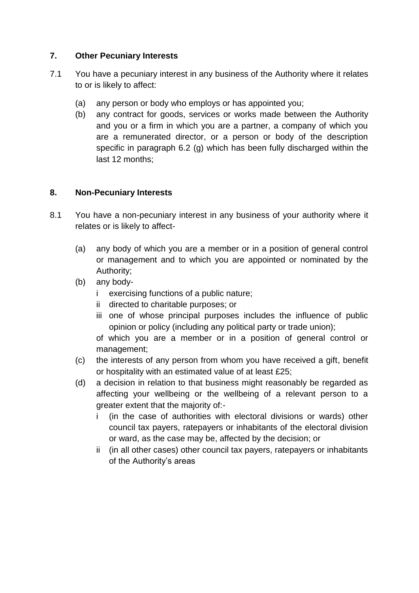# **7. Other Pecuniary Interests**

- 7.1 You have a pecuniary interest in any business of the Authority where it relates to or is likely to affect:
	- (a) any person or body who employs or has appointed you;
	- (b) any contract for goods, services or works made between the Authority and you or a firm in which you are a partner, a company of which you are a remunerated director, or a person or body of the description specific in paragraph 6.2 (g) which has been fully discharged within the last 12 months;

# **8. Non-Pecuniary Interests**

- 8.1 You have a non-pecuniary interest in any business of your authority where it relates or is likely to affect-
	- (a) any body of which you are a member or in a position of general control or management and to which you are appointed or nominated by the Authority;
	- (b) any body
		- i exercising functions of a public nature;
		- ii directed to charitable purposes; or
		- iii one of whose principal purposes includes the influence of public opinion or policy (including any political party or trade union);

of which you are a member or in a position of general control or management;

- (c) the interests of any person from whom you have received a gift, benefit or hospitality with an estimated value of at least £25;
- (d) a decision in relation to that business might reasonably be regarded as affecting your wellbeing or the wellbeing of a relevant person to a greater extent that the majority of:
	- i (in the case of authorities with electoral divisions or wards) other council tax payers, ratepayers or inhabitants of the electoral division or ward, as the case may be, affected by the decision; or
	- ii (in all other cases) other council tax payers, ratepayers or inhabitants of the Authority's areas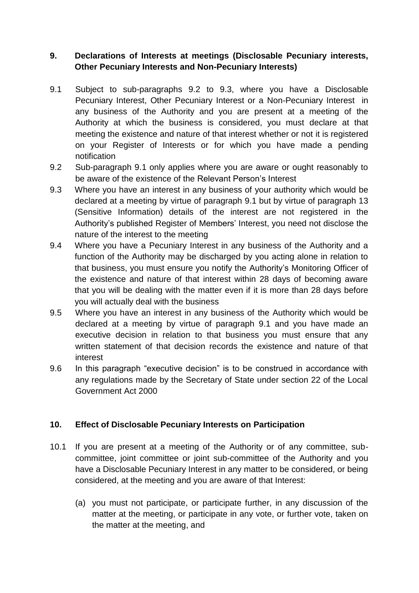# **9. Declarations of Interests at meetings (Disclosable Pecuniary interests, Other Pecuniary Interests and Non-Pecuniary Interests)**

- 9.1 Subject to sub-paragraphs 9.2 to 9.3, where you have a Disclosable Pecuniary Interest, Other Pecuniary Interest or a Non-Pecuniary Interest in any business of the Authority and you are present at a meeting of the Authority at which the business is considered, you must declare at that meeting the existence and nature of that interest whether or not it is registered on your Register of Interests or for which you have made a pending notification
- 9.2 Sub-paragraph 9.1 only applies where you are aware or ought reasonably to be aware of the existence of the Relevant Person's Interest
- 9.3 Where you have an interest in any business of your authority which would be declared at a meeting by virtue of paragraph 9.1 but by virtue of paragraph 13 (Sensitive Information) details of the interest are not registered in the Authority's published Register of Members' Interest, you need not disclose the nature of the interest to the meeting
- 9.4 Where you have a Pecuniary Interest in any business of the Authority and a function of the Authority may be discharged by you acting alone in relation to that business, you must ensure you notify the Authority's Monitoring Officer of the existence and nature of that interest within 28 days of becoming aware that you will be dealing with the matter even if it is more than 28 days before you will actually deal with the business
- 9.5 Where you have an interest in any business of the Authority which would be declared at a meeting by virtue of paragraph 9.1 and you have made an executive decision in relation to that business you must ensure that any written statement of that decision records the existence and nature of that interest
- 9.6 In this paragraph "executive decision" is to be construed in accordance with any regulations made by the Secretary of State under section 22 of the Local Government Act 2000

## **10. Effect of Disclosable Pecuniary Interests on Participation**

- 10.1 If you are present at a meeting of the Authority or of any committee, subcommittee, joint committee or joint sub-committee of the Authority and you have a Disclosable Pecuniary Interest in any matter to be considered, or being considered, at the meeting and you are aware of that Interest:
	- (a) you must not participate, or participate further, in any discussion of the matter at the meeting, or participate in any vote, or further vote, taken on the matter at the meeting, and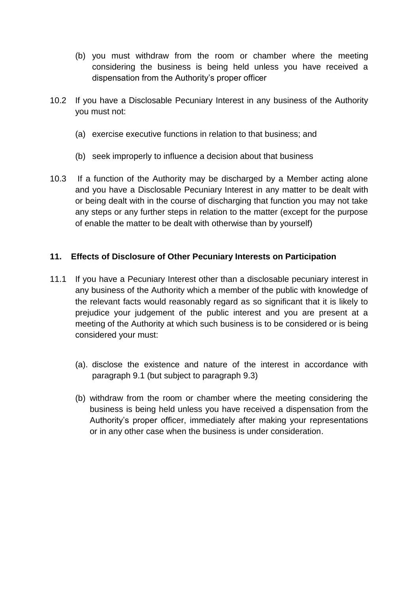- (b) you must withdraw from the room or chamber where the meeting considering the business is being held unless you have received a dispensation from the Authority's proper officer
- 10.2 If you have a Disclosable Pecuniary Interest in any business of the Authority you must not:
	- (a) exercise executive functions in relation to that business; and
	- (b) seek improperly to influence a decision about that business
- 10.3 If a function of the Authority may be discharged by a Member acting alone and you have a Disclosable Pecuniary Interest in any matter to be dealt with or being dealt with in the course of discharging that function you may not take any steps or any further steps in relation to the matter (except for the purpose of enable the matter to be dealt with otherwise than by yourself)

## **11. Effects of Disclosure of Other Pecuniary Interests on Participation**

- 11.1 If you have a Pecuniary Interest other than a disclosable pecuniary interest in any business of the Authority which a member of the public with knowledge of the relevant facts would reasonably regard as so significant that it is likely to prejudice your judgement of the public interest and you are present at a meeting of the Authority at which such business is to be considered or is being considered your must:
	- (a). disclose the existence and nature of the interest in accordance with paragraph 9.1 (but subject to paragraph 9.3)
	- (b) withdraw from the room or chamber where the meeting considering the business is being held unless you have received a dispensation from the Authority's proper officer, immediately after making your representations or in any other case when the business is under consideration.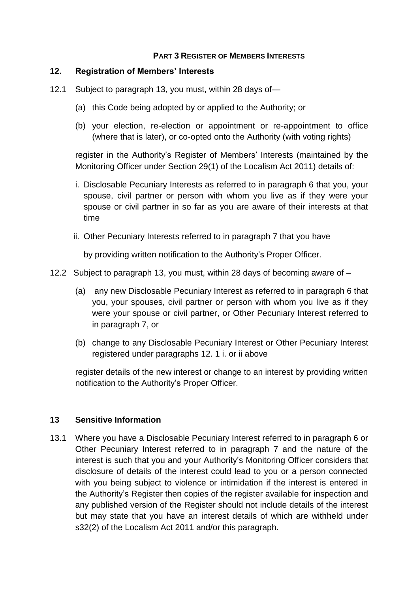## **PART 3 REGISTER OF MEMBERS INTERESTS**

## **12. Registration of Members' Interests**

- 12.1 Subject to paragraph 13, you must, within 28 days of—
	- (a) this Code being adopted by or applied to the Authority; or
	- (b) your election, re-election or appointment or re-appointment to office (where that is later), or co-opted onto the Authority (with voting rights)

register in the Authority's Register of Members' Interests (maintained by the Monitoring Officer under Section 29(1) of the Localism Act 2011) details of:

- i. Disclosable Pecuniary Interests as referred to in paragraph 6 that you, your spouse, civil partner or person with whom you live as if they were your spouse or civil partner in so far as you are aware of their interests at that time
- ii. Other Pecuniary Interests referred to in paragraph 7 that you have

by providing written notification to the Authority's Proper Officer.

- 12.2 Subject to paragraph 13, you must, within 28 days of becoming aware of
	- (a) any new Disclosable Pecuniary Interest as referred to in paragraph 6 that you, your spouses, civil partner or person with whom you live as if they were your spouse or civil partner, or Other Pecuniary Interest referred to in paragraph 7, or
	- (b) change to any Disclosable Pecuniary Interest or Other Pecuniary Interest registered under paragraphs 12. 1 i. or ii above

register details of the new interest or change to an interest by providing written notification to the Authority's Proper Officer.

#### **13 Sensitive Information**

13.1 Where you have a Disclosable Pecuniary Interest referred to in paragraph 6 or Other Pecuniary Interest referred to in paragraph 7 and the nature of the interest is such that you and your Authority's Monitoring Officer considers that disclosure of details of the interest could lead to you or a person connected with you being subject to violence or intimidation if the interest is entered in the Authority's Register then copies of the register available for inspection and any published version of the Register should not include details of the interest but may state that you have an interest details of which are withheld under s32(2) of the Localism Act 2011 and/or this paragraph.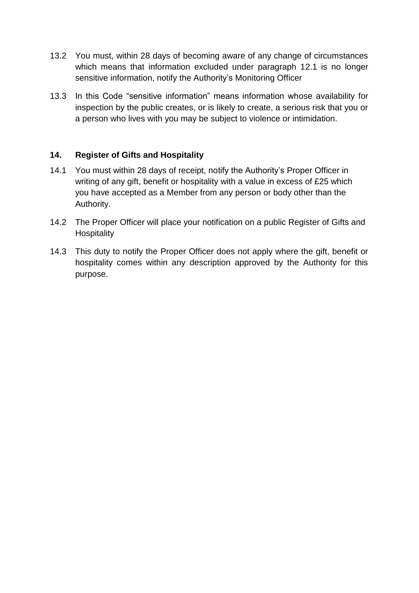- 13.2 You must, within 28 days of becoming aware of any change of circumstances which means that information excluded under paragraph 12.1 is no longer sensitive information, notify the Authority's Monitoring Officer
- 13.3 In this Code "sensitive information" means information whose availability for inspection by the public creates, or is likely to create, a serious risk that you or a person who lives with you may be subject to violence or intimidation.

## **14. Register of Gifts and Hospitality**

- 14.1 You must within 28 days of receipt, notify the Authority's Proper Officer in writing of any gift, benefit or hospitality with a value in excess of £25 which you have accepted as a Member from any person or body other than the Authority.
- 14.2 The Proper Officer will place your notification on a public Register of Gifts and **Hospitality**
- 14.3 This duty to notify the Proper Officer does not apply where the gift, benefit or hospitality comes within any description approved by the Authority for this purpose.